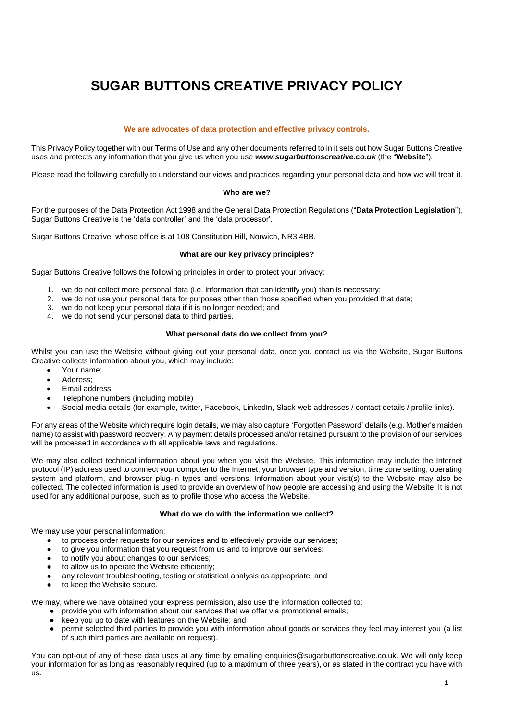# **SUGAR BUTTONS CREATIVE PRIVACY POLICY**

# **We are advocates of data protection and effective privacy controls.**

This Privacy Policy together with our Terms of Use and any other documents referred to in it sets out how Sugar Buttons Creative uses and protects any information that you give us when you use *www.sugarbuttonscreative.co.uk* (the "**Website**").

Please read the following carefully to understand our views and practices regarding your personal data and how we will treat it.

#### **Who are we?**

For the purposes of the Data Protection Act 1998 and the General Data Protection Regulations ("**Data Protection Legislation**"), Sugar Buttons Creative is the 'data controller' and the 'data processor'.

Sugar Buttons Creative, whose office is at 108 Constitution Hill, Norwich, NR3 4BB.

#### **What are our key privacy principles?**

Sugar Buttons Creative follows the following principles in order to protect your privacy:

- 1. we do not collect more personal data (i.e. information that can identify you) than is necessary;
- 2. we do not use your personal data for purposes other than those specified when you provided that data;
- 3. we do not keep your personal data if it is no longer needed; and
- 4. we do not send your personal data to third parties.

## **What personal data do we collect from you?**

Whilst you can use the Website without giving out your personal data, once you contact us via the Website, Sugar Buttons Creative collects information about you, which may include:

- Your name;
- Address:
- Email address;
- Telephone numbers (including mobile)
- Social media details (for example, twitter, Facebook, LinkedIn, Slack web addresses / contact details / profile links).

For any areas of the Website which require login details, we may also capture 'Forgotten Password' details (e.g. Mother's maiden name) to assist with password recovery. Any payment details processed and/or retained pursuant to the provision of our services will be processed in accordance with all applicable laws and regulations.

We may also collect technical information about you when you visit the Website. This information may include the Internet protocol (IP) address used to connect your computer to the Internet, your browser type and version, time zone setting, operating system and platform, and browser plug-in types and versions. Information about your visit(s) to the Website may also be collected. The collected information is used to provide an overview of how people are accessing and using the Website. It is not used for any additional purpose, such as to profile those who access the Website.

#### **What do we do with the information we collect?**

We may use your personal information:

- to process order requests for our services and to effectively provide our services;
- to give you information that you request from us and to improve our services;
- to notify you about changes to our services;
- to allow us to operate the Website efficiently:
- any relevant troubleshooting, testing or statistical analysis as appropriate; and
- to keep the Website secure.

We may, where we have obtained your express permission, also use the information collected to:

- provide you with information about our services that we offer via promotional emails;
- keep you up to date with features on the Website; and
- permit selected third parties to provide you with information about goods or services they feel may interest you (a list of such third parties are available on request).

You can opt-out of any of these data uses at any time by emailing enquiries@sugarbuttonscreative.co.uk. We will only keep your information for as long as reasonably required (up to a maximum of three years), or as stated in the contract you have with us.